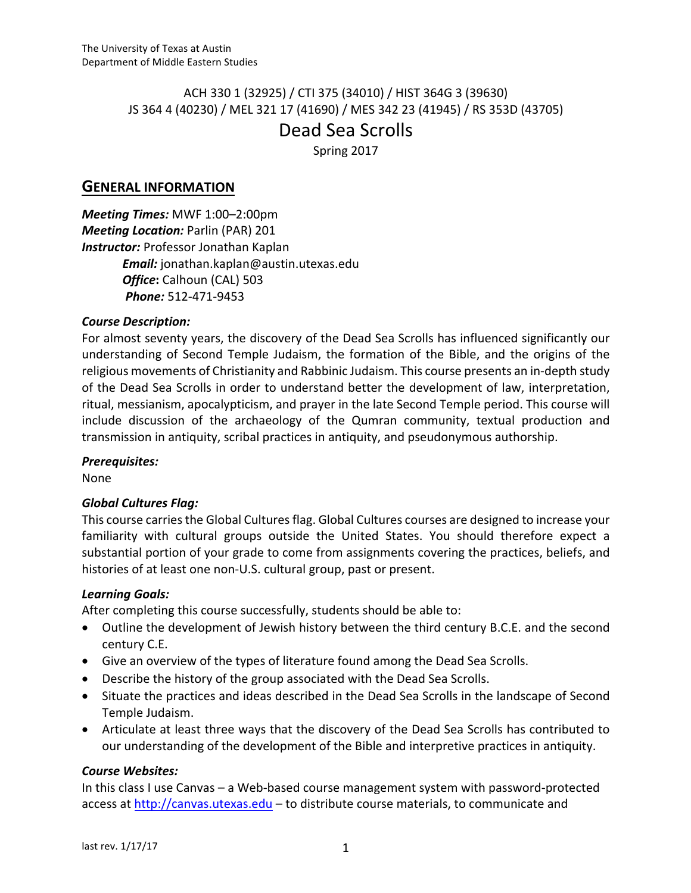# ACH 330 1 (32925) / CTI 375 (34010) / HIST 364G 3 (39630) JS 364 4 (40230) / MEL 321 17 (41690) / MES 342 23 (41945) / RS 353D (43705) Dead Sea Scrolls

Spring 2017

# **GENERAL INFORMATION**

*Meeting Times:* MWF 1:00-2:00pm *Meeting Location: Parlin (PAR) 201* **Instructor:** Professor Jonathan Kaplan *Email:* jonathan.kaplan@austin.utexas.edu *Office***:** Calhoun (CAL) 503 *Phone:* 512-471-9453

### *Course Description:*

For almost seventy years, the discovery of the Dead Sea Scrolls has influenced significantly our understanding of Second Temple Judaism, the formation of the Bible, and the origins of the religious movements of Christianity and Rabbinic Judaism. This course presents an in-depth study of the Dead Sea Scrolls in order to understand better the development of law, interpretation, ritual, messianism, apocalypticism, and prayer in the late Second Temple period. This course will include discussion of the archaeology of the Qumran community, textual production and transmission in antiquity, scribal practices in antiquity, and pseudonymous authorship.

#### *Prerequisites:*

None

# *Global Cultures Flag:*

This course carries the Global Cultures flag. Global Cultures courses are designed to increase your familiarity with cultural groups outside the United States. You should therefore expect a substantial portion of your grade to come from assignments covering the practices, beliefs, and histories of at least one non-U.S. cultural group, past or present.

# *Learning Goals:*

After completing this course successfully, students should be able to:

- Outline the development of Jewish history between the third century B.C.E. and the second century C.E.
- Give an overview of the types of literature found among the Dead Sea Scrolls.
- Describe the history of the group associated with the Dead Sea Scrolls.
- Situate the practices and ideas described in the Dead Sea Scrolls in the landscape of Second Temple Judaism.
- Articulate at least three ways that the discovery of the Dead Sea Scrolls has contributed to our understanding of the development of the Bible and interpretive practices in antiquity.

# *Course Websites:*

In this class I use Canvas – a Web-based course management system with password-protected access at http://canvas.utexas.edu – to distribute course materials, to communicate and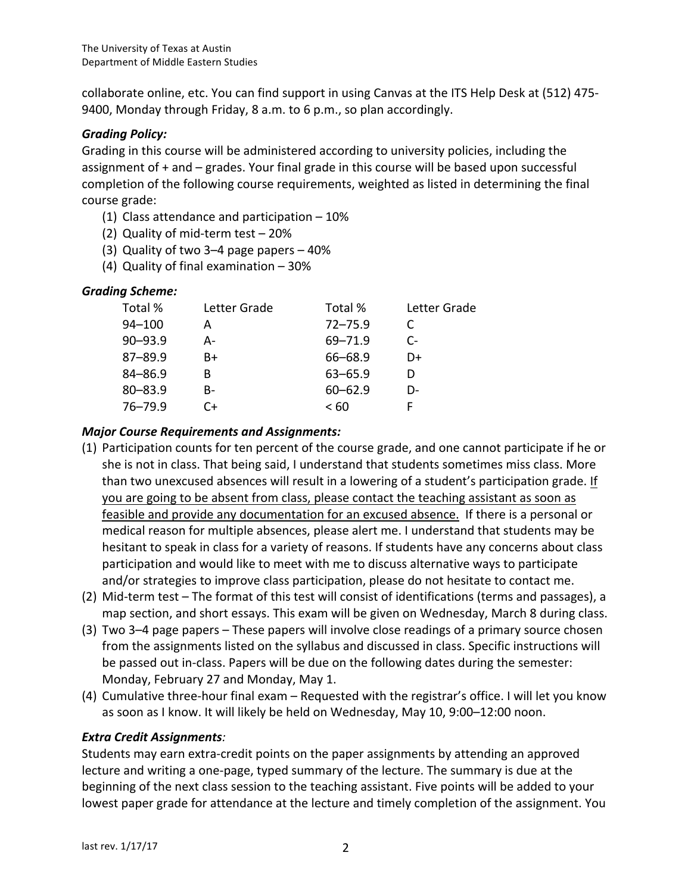collaborate online, etc. You can find support in using Canvas at the ITS Help Desk at (512) 475-9400, Monday through Friday, 8 a.m. to 6 p.m., so plan accordingly.

### *Grading Policy:*

Grading in this course will be administered according to university policies, including the assignment of  $+$  and  $-$  grades. Your final grade in this course will be based upon successful completion of the following course requirements, weighted as listed in determining the final course grade:

- (1) Class attendance and participation  $-10\%$
- (2) Quality of mid-term test  $-20%$
- (3) Quality of two 3–4 page papers  $-40\%$
- (4) Quality of final examination  $-30%$

### *Grading Scheme:*

| Total %     | Letter Grade | Total %     | Letter Grade           |
|-------------|--------------|-------------|------------------------|
| $94 - 100$  | А            | $72 - 75.9$ | C                      |
| $90 - 93.9$ | А-           | 69-71.9     | $\mathsf{C}\mathsf{-}$ |
| $87 - 89.9$ | B+           | 66-68.9     | D+                     |
| $84 - 86.9$ | в            | $63 - 65.9$ |                        |
| $80 - 83.9$ | B-           | $60 - 62.9$ | D-                     |
| $76 - 79.9$ | C+           | < 60        |                        |
|             |              |             |                        |

#### **Major Course Requirements and Assignments:**

- (1) Participation counts for ten percent of the course grade, and one cannot participate if he or she is not in class. That being said, I understand that students sometimes miss class. More than two unexcused absences will result in a lowering of a student's participation grade. If you are going to be absent from class, please contact the teaching assistant as soon as feasible and provide any documentation for an excused absence. If there is a personal or medical reason for multiple absences, please alert me. I understand that students may be hesitant to speak in class for a variety of reasons. If students have any concerns about class participation and would like to meet with me to discuss alternative ways to participate and/or strategies to improve class participation, please do not hesitate to contact me.
- (2) Mid-term test The format of this test will consist of identifications (terms and passages), a map section, and short essays. This exam will be given on Wednesday, March 8 during class.
- $(3)$  Two 3–4 page papers These papers will involve close readings of a primary source chosen from the assignments listed on the syllabus and discussed in class. Specific instructions will be passed out in-class. Papers will be due on the following dates during the semester: Monday, February 27 and Monday, May 1.
- (4) Cumulative three-hour final exam Requested with the registrar's office. I will let you know as soon as I know. It will likely be held on Wednesday, May 10, 9:00-12:00 noon.

#### *Extra Credit Assignments:*

Students may earn extra-credit points on the paper assignments by attending an approved lecture and writing a one-page, typed summary of the lecture. The summary is due at the beginning of the next class session to the teaching assistant. Five points will be added to your lowest paper grade for attendance at the lecture and timely completion of the assignment. You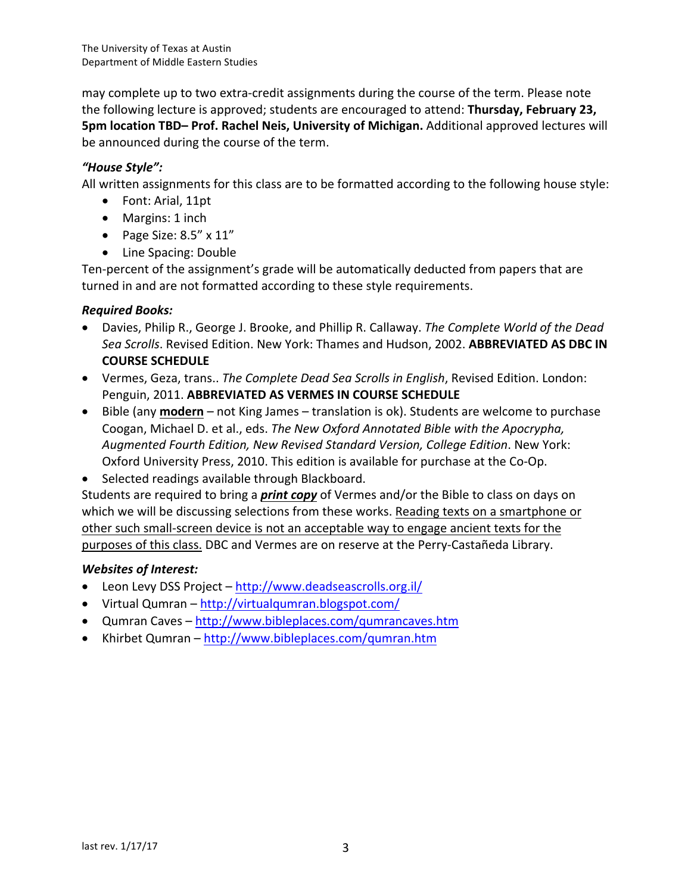may complete up to two extra-credit assignments during the course of the term. Please note the following lecture is approved; students are encouraged to attend: **Thursday, February 23, 5pm location TBD– Prof. Rachel Neis, University of Michigan.** Additional approved lectures will be announced during the course of the term.

# *"House Style":*

All written assignments for this class are to be formatted according to the following house style:

- Font: Arial, 11pt
- Margins: 1 inch
- Page Size:  $8.5'' \times 11''$
- Line Spacing: Double

Ten-percent of the assignment's grade will be automatically deducted from papers that are turned in and are not formatted according to these style requirements.

# *Required Books:*

- Davies, Philip R., George J. Brooke, and Phillip R. Callaway. *The Complete World of the Dead* Sea Scrolls. Revised Edition. New York: Thames and Hudson, 2002. ABBREVIATED AS DBC IN **COURSE SCHEDULE**
- Vermes, Geza, trans.. *The Complete Dead Sea Scrolls in English*, Revised Edition. London: Penguin, 2011. **ABBREVIATED AS VERMES IN COURSE SCHEDULE**
- Bible (any **modern** not King James translation is ok). Students are welcome to purchase Coogan, Michael D. et al., eds. The New Oxford Annotated Bible with the Apocrypha, *Augmented Fourth Edition, New Revised Standard Version, College Edition*. New York: Oxford University Press, 2010. This edition is available for purchase at the Co-Op.
- Selected readings available through Blackboard.

Students are required to bring a *print copy* of Vermes and/or the Bible to class on days on which we will be discussing selections from these works. Reading texts on a smartphone or other such small-screen device is not an acceptable way to engage ancient texts for the purposes of this class. DBC and Vermes are on reserve at the Perry-Castañeda Library.

# *Websites of Interest:*

- Leon Levy DSS Project http://www.deadseascrolls.org.il/
- Virtual Qumran http://virtualqumran.blogspot.com/
- Qumran Caves http://www.bibleplaces.com/gumrancaves.htm
- Khirbet Qumran http://www.bibleplaces.com/qumran.htm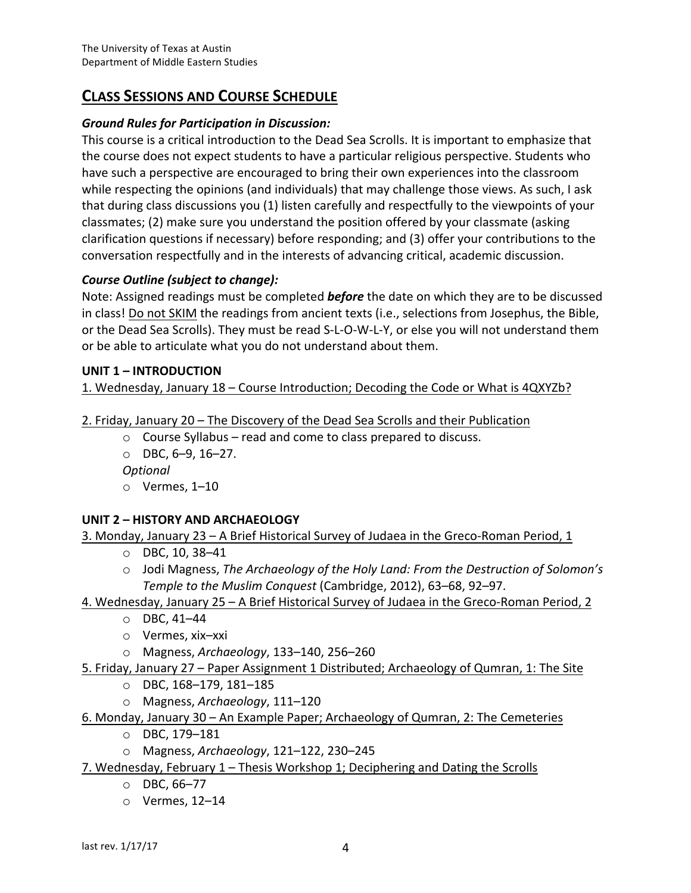# **CLASS SESSIONS AND COURSE SCHEDULE**

# *Ground Rules for Participation in Discussion:*

This course is a critical introduction to the Dead Sea Scrolls. It is important to emphasize that the course does not expect students to have a particular religious perspective. Students who have such a perspective are encouraged to bring their own experiences into the classroom while respecting the opinions (and individuals) that may challenge those views. As such, I ask that during class discussions you (1) listen carefully and respectfully to the viewpoints of your classmates; (2) make sure you understand the position offered by your classmate (asking clarification questions if necessary) before responding; and (3) offer your contributions to the conversation respectfully and in the interests of advancing critical, academic discussion.

# *Course Outline (subject to change):*

Note: Assigned readings must be completed **before** the date on which they are to be discussed in class! Do not SKIM the readings from ancient texts (i.e., selections from Josephus, the Bible, or the Dead Sea Scrolls). They must be read S-L-O-W-L-Y, or else you will not understand them or be able to articulate what you do not understand about them.

### UNIT 1 – **INTRODUCTION**

1. Wednesday, January 18 – Course Introduction; Decoding the Code or What is 4QXYZb?

- 2. Friday, January 20 The Discovery of the Dead Sea Scrolls and their Publication
	- $\circ$  Course Syllabus read and come to class prepared to discuss.
	- $O$  DBC,  $6-9$ ,  $16-27$ .

*Optional*

 $\circ$  Vermes, 1–10

# **UNIT 2 - HISTORY AND ARCHAEOLOGY**

3. Monday, January  $23 - A$  Brief Historical Survey of Judaea in the Greco-Roman Period, 1

- $O$  DBC, 10, 38-41
- o Jodi Magness, *The Archaeology of the Holy Land: From the Destruction of Solomon's Temple to the Muslim Conquest* (Cambridge, 2012), 63–68, 92–97.

# 4. Wednesday, January 25 – A Brief Historical Survey of Judaea in the Greco-Roman Period, 2

- $O$  DBC, 41–44
- o Vermes, xix–xxi
- o Magness, *Archaeology*, 133–140, 256–260

#### 5. Friday, January 27 – Paper Assignment 1 Distributed; Archaeology of Qumran, 1: The Site

- $O$  DBC, 168-179, 181-185
- o Magness, Archaeology, 111-120

# 6. Monday, January 30 – An Example Paper; Archaeology of Qumran, 2: The Cemeteries

- o DBC, 179–181
- o Magness, *Archaeology*, 121–122, 230–245

# 7. Wednesday, February 1 – Thesis Workshop 1; Deciphering and Dating the Scrolls

- o DBC, 66–77
- $\circ$  Vermes, 12-14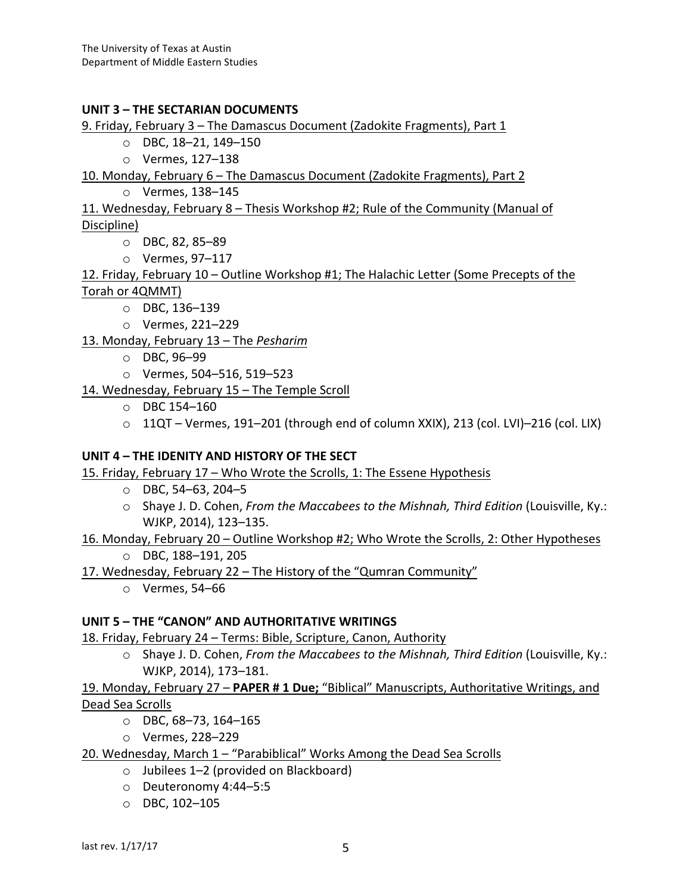#### UNIT 3 – THE SECTARIAN DOCUMENTS

9. Friday, February 3 - The Damascus Document (Zadokite Fragments), Part 1

 $O$  DBC, 18-21, 149-150

o Vermes, 127–138

10. Monday, February 6 – The Damascus Document (Zadokite Fragments), Part 2

o Vermes, 138–145

11. Wednesday, February 8 – Thesis Workshop #2; Rule of the Community (Manual of Discipline)

- o DBC, 82, 85–89
- o Vermes, 97–117

12. Friday, February  $10 -$  Outline Workshop #1; The Halachic Letter (Some Precepts of the Torah or 4QMMT)

 $O$  DBC, 136-139

o Vermes, 221–229

13. Monday, February 13 - The Pesharim

- o DBC, 96–99
- o Vermes, 504–516, 519–523
- 14. Wednesday, February 15 The Temple Scroll
	- $O$  DBC 154-160
	- $\circ$  11QT Vermes, 191–201 (through end of column XXIX), 213 (col. LVI)–216 (col. LIX)

#### UNIT 4 – THE IDENITY AND HISTORY OF THE SECT

15. Friday, February 17 – Who Wrote the Scrolls, 1: The Essene Hypothesis

- $O$  DBC, 54–63, 204–5
- o Shaye J. D. Cohen, *From the Maccabees to the Mishnah, Third Edition* (Louisville, Ky.: WJKP, 2014), 123-135.
- 16. Monday, February 20 Outline Workshop #2; Who Wrote the Scrolls, 2: Other Hypotheses o DBC, 188–191, 205

17. Wednesday, February 22 – The History of the "Qumran Community"

 $\circ$  Vermes, 54–66

#### **UNIT 5 – THE "CANON" AND AUTHORITATIVE WRITINGS**

18. Friday, February 24 - Terms: Bible, Scripture, Canon, Authority

o Shaye J. D. Cohen, *From the Maccabees to the Mishnah, Third Edition* (Louisville, Ky.: WJKP, 2014), 173-181.

# 19. Monday, February 27 - PAPER # 1 Due; "Biblical" Manuscripts, Authoritative Writings, and Dead Sea Scrolls

- $O$  DBC, 68-73, 164-165
- o Vermes, 228–229
- 20. Wednesday, March 1 "Parabiblical" Works Among the Dead Sea Scrolls
	- $\circ$  Jubilees 1–2 (provided on Blackboard)
	- o Deuteronomy 4:44–5:5
	- o DBC, 102–105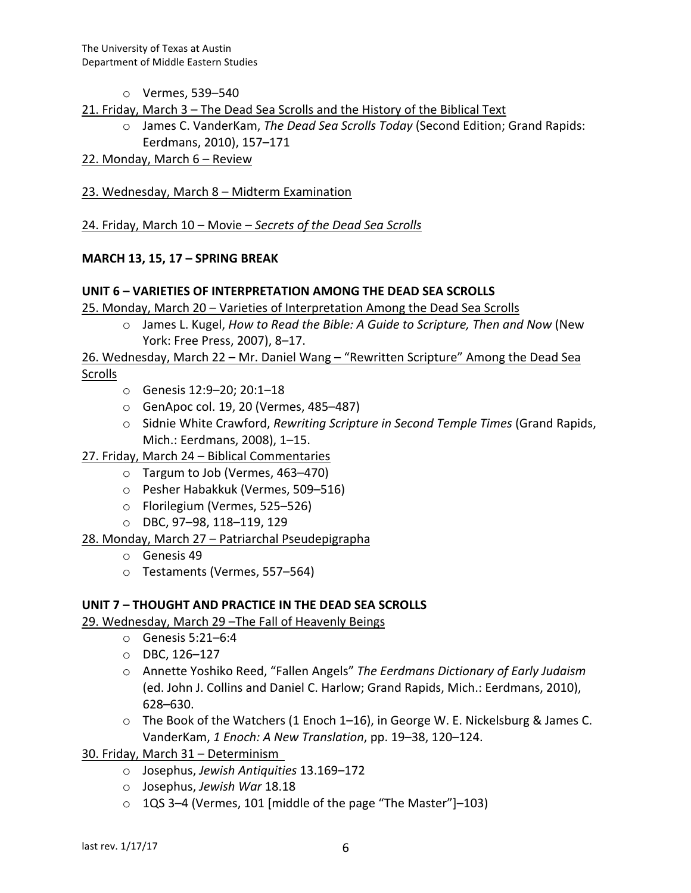- o Vermes, 539–540
- 21. Friday, March  $3$  The Dead Sea Scrolls and the History of the Biblical Text
	- o James C. VanderKam, *The Dead Sea Scrolls Today* (Second Edition; Grand Rapids: Eerdmans, 2010), 157-171
- 22. Monday, March  $6 -$  Review
- 23. Wednesday, March 8 Midterm Examination

24. Friday, March 10 – Movie – *Secrets of the Dead Sea Scrolls* 

#### **MARCH 13, 15, 17 – SPRING BREAK**

#### **UNIT 6 – VARIETIES OF INTERPRETATION AMONG THE DEAD SEA SCROLLS**

25. Monday, March 20 – Varieties of Interpretation Among the Dead Sea Scrolls

o James L. Kugel, *How to Read the Bible: A Guide to Scripture, Then and Now* (New York: Free Press, 2007), 8-17.

26. Wednesday, March 22 – Mr. Daniel Wang – "Rewritten Scripture" Among the Dead Sea Scrolls

- o Genesis 12:9–20; 20:1–18
- $\circ$  GenApoc col. 19, 20 (Vermes, 485–487)
- $\circ$  Sidnie White Crawford, *Rewriting Scripture in Second Temple Times* (Grand Rapids, Mich.: Eerdmans, 2008), 1-15.
- 27. Friday, March 24 Biblical Commentaries
	- $\circ$  Targum to Job (Vermes, 463–470)
	- o Pesher Habakkuk (Vermes, 509-516)
	- o Florilegium (Vermes, 525–526)
	- o DBC, 97–98, 118–119, 129
- 28. Monday, March 27 Patriarchal Pseudepigrapha
	- $\circ$  Genesis 49
	- o Testaments (Vermes, 557–564)

#### **UNIT 7 - THOUGHT AND PRACTICE IN THE DEAD SEA SCROLLS**

29. Wednesday, March 29-The Fall of Heavenly Beings

- $\circ$  Genesis 5:21–6:4
- $O$  DBC, 126-127
- o Annette Yoshiko Reed, "Fallen Angels" *The Eerdmans Dictionary of Early Judaism* (ed. John J. Collins and Daniel C. Harlow; Grand Rapids, Mich.: Eerdmans, 2010), 628–630.
- $\circ$  The Book of the Watchers (1 Enoch 1–16), in George W. E. Nickelsburg & James C. VanderKam, 1 Enoch: A New Translation, pp. 19-38, 120-124.
- 30. Friday, March 31 Determinism
	- o Josephus, *Jewish Antiquities* 13.169–172
	- o Josephus, *Jewish War* 18.18
	- $\circ$  1QS 3–4 (Vermes, 101 [middle of the page "The Master"]–103)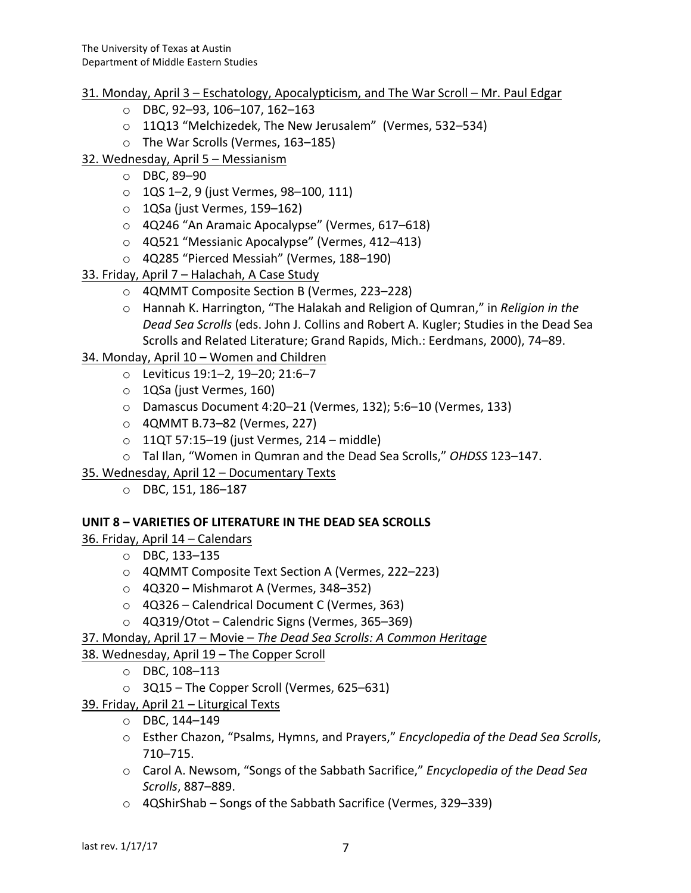# 31. Monday, April 3 – Eschatology, Apocalypticism, and The War Scroll – Mr. Paul Edgar

- $\circ$  DBC, 92–93, 106–107, 162–163
- o 11Q13 "Melchizedek, The New Jerusalem" (Vermes, 532–534)
- o The War Scrolls (Vermes, 163-185)
- 32. Wednesday, April 5 Messianism
	- $\circ$  DBC, 89-90
	- o 1QS 1-2, 9 (just Vermes, 98-100, 111)
	- $\circ$  1QSa (just Vermes, 159–162)
	- o 4Q246 "An Aramaic Apocalypse" (Vermes, 617–618)
	- o 4Q521 "Messianic Apocalypse" (Vermes, 412-413)
	- o 4Q285 "Pierced Messiah" (Vermes, 188-190)
- 33. Friday, April 7 Halachah, A Case Study
	- o 4QMMT Composite Section B (Vermes, 223-228)
	- o Hannah K. Harrington, "The Halakah and Religion of Qumran," in *Religion in the Dead Sea Scrolls* (eds. John J. Collins and Robert A. Kugler; Studies in the Dead Sea Scrolls and Related Literature; Grand Rapids, Mich.: Eerdmans, 2000), 74-89.
- 34. Monday, April 10 Women and Children
	- o Leviticus 19:1–2, 19–20; 21:6–7
	- o 1QSa (just Vermes, 160)
	- o Damascus Document 4:20–21 (Vermes, 132); 5:6–10 (Vermes, 133)
	- o 4QMMT B.73–82 (Vermes, 227)
	- $\circ$  11QT 57:15–19 (just Vermes, 214 middle)
	- o Tal Ilan, "Women in Qumran and the Dead Sea Scrolls," OHDSS 123-147.
- 35. Wednesday, April 12 Documentary Texts
	- o DBC, 151, 186–187

# **UNIT 8 - VARIETIES OF LITERATURE IN THE DEAD SEA SCROLLS**

36. Friday, April 14 - Calendars

- o DBC, 133–135
- o 4QMMT Composite Text Section A (Vermes, 222–223)
- $\circ$  4Q320 Mishmarot A (Vermes, 348–352)
- $\circ$  4Q326 Calendrical Document C (Vermes, 363)
- $\circ$  4Q319/Otot Calendric Signs (Vermes, 365–369)
- 37. Monday, April 17 Movie The Dead Sea Scrolls: A Common Heritage
- 38. Wednesday, April 19 The Copper Scroll
	- $O$  DBC, 108-113
	- $\circ$  3Q15 The Copper Scroll (Vermes, 625–631)
- 39. Friday, April  $21 -$ Liturgical Texts
	- $O$  DBC, 144–149
	- o Esther Chazon, "Psalms, Hymns, and Prayers," *Encyclopedia of the Dead Sea Scrolls*, 710–715.
	- Carol A. Newsom, "Songs of the Sabbath Sacrifice," *Encyclopedia of the Dead Sea Scrolls*, 887–889.
	- $\circ$  4QShirShab Songs of the Sabbath Sacrifice (Vermes, 329–339)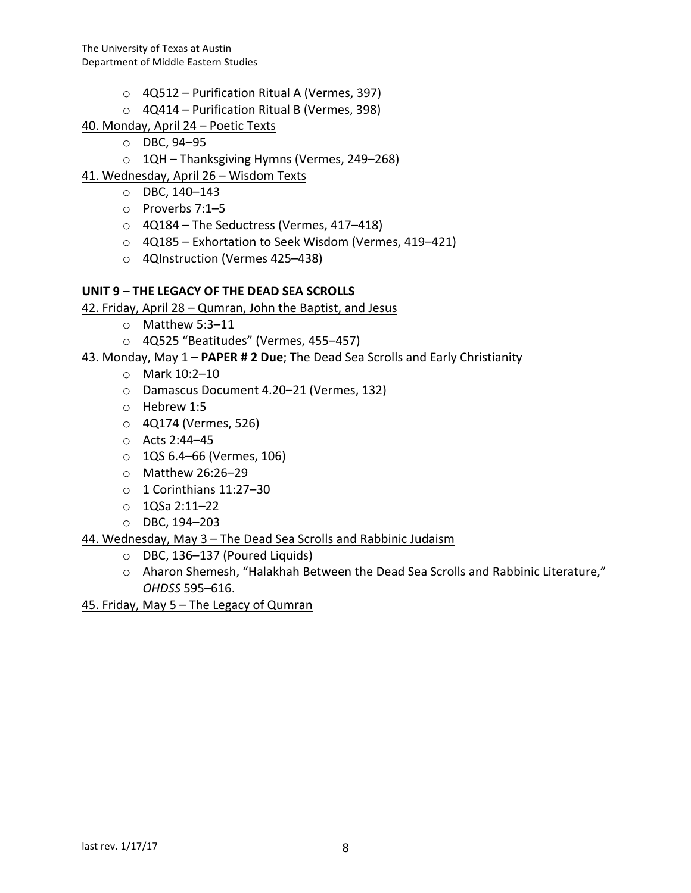- $\circ$  4Q512 Purification Ritual A (Vermes, 397)
- $\circ$  4Q414 Purification Ritual B (Vermes, 398)
- 40. Monday, April 24 Poetic Texts
	- o DBC, 94–95
	- o 1QH Thanksgiving Hymns (Vermes, 249–268)
- 41. Wednesday, April 26 Wisdom Texts
	- $O$  DBC, 140–143
	- $\circ$  Proverbs 7:1–5
	- $\circ$  4Q184 The Seductress (Vermes, 417–418)
	- o 4Q185 Exhortation to Seek Wisdom (Vermes, 419–421)
	- o 4QInstruction (Vermes 425-438)

# UNIT 9 – THE LEGACY OF THE DEAD SEA SCROLLS

- 42. Friday, April  $28 -$  Qumran, John the Baptist, and Jesus
	- $\circ$  Matthew 5:3–11
	- $\circ$  4Q525 "Beatitudes" (Vermes, 455–457)
- 43. Monday, May 1 PAPER # 2 Due; The Dead Sea Scrolls and Early Christianity
	- o Mark 10:2–10
	- o Damascus Document 4.20–21 (Vermes, 132)
	- $\circ$  Hebrew 1:5
	- $\circ$  4Q174 (Vermes, 526)
	- o Acts 2:44–45
	- $\circ$  1QS 6.4–66 (Vermes, 106)
	- o Matthew 26:26–29
	- $\circ$  1 Corinthians 11:27–30
	- $\circ$  1QSa 2:11–22
	- o DBC, 194–203

# 44. Wednesday, May 3 - The Dead Sea Scrolls and Rabbinic Judaism

- $\circ$  DBC, 136–137 (Poured Liquids)
- o Aharon Shemesh, "Halakhah Between the Dead Sea Scrolls and Rabbinic Literature," *OHDSS* 595–616.

45. Friday, May  $5 -$  The Legacy of Qumran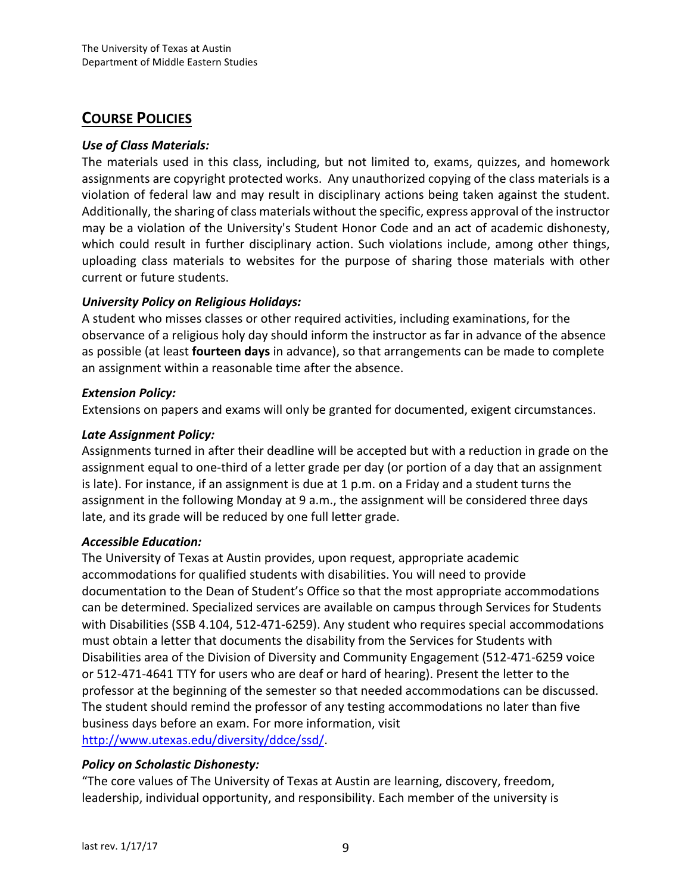# **COURSE POLICIES**

### *Use of Class Materials:*

The materials used in this class, including, but not limited to, exams, quizzes, and homework assignments are copyright protected works. Any unauthorized copying of the class materials is a violation of federal law and may result in disciplinary actions being taken against the student. Additionally, the sharing of class materials without the specific, express approval of the instructor may be a violation of the University's Student Honor Code and an act of academic dishonesty, which could result in further disciplinary action. Such violations include, among other things, uploading class materials to websites for the purpose of sharing those materials with other current or future students.

# *University Policy on Religious Holidays:*

A student who misses classes or other required activities, including examinations, for the observance of a religious holy day should inform the instructor as far in advance of the absence as possible (at least **fourteen days** in advance), so that arrangements can be made to complete an assignment within a reasonable time after the absence.

### *Extension Policy:*

Extensions on papers and exams will only be granted for documented, exigent circumstances.

### *Late Assignment Policy:*

Assignments turned in after their deadline will be accepted but with a reduction in grade on the assignment equal to one-third of a letter grade per day (or portion of a day that an assignment is late). For instance, if an assignment is due at  $1 p.m.$  on a Friday and a student turns the assignment in the following Monday at 9 a.m., the assignment will be considered three days late, and its grade will be reduced by one full letter grade.

#### *Accessible Education:*

The University of Texas at Austin provides, upon request, appropriate academic accommodations for qualified students with disabilities. You will need to provide documentation to the Dean of Student's Office so that the most appropriate accommodations can be determined. Specialized services are available on campus through Services for Students with Disabilities (SSB 4.104, 512-471-6259). Any student who requires special accommodations must obtain a letter that documents the disability from the Services for Students with Disabilities area of the Division of Diversity and Community Engagement (512-471-6259 voice or 512-471-4641 TTY for users who are deaf or hard of hearing). Present the letter to the professor at the beginning of the semester so that needed accommodations can be discussed. The student should remind the professor of any testing accommodations no later than five business days before an exam. For more information, visit http://www.utexas.edu/diversity/ddce/ssd/. 

# *Policy on Scholastic Dishonesty:*

"The core values of The University of Texas at Austin are learning, discovery, freedom, leadership, individual opportunity, and responsibility. Each member of the university is